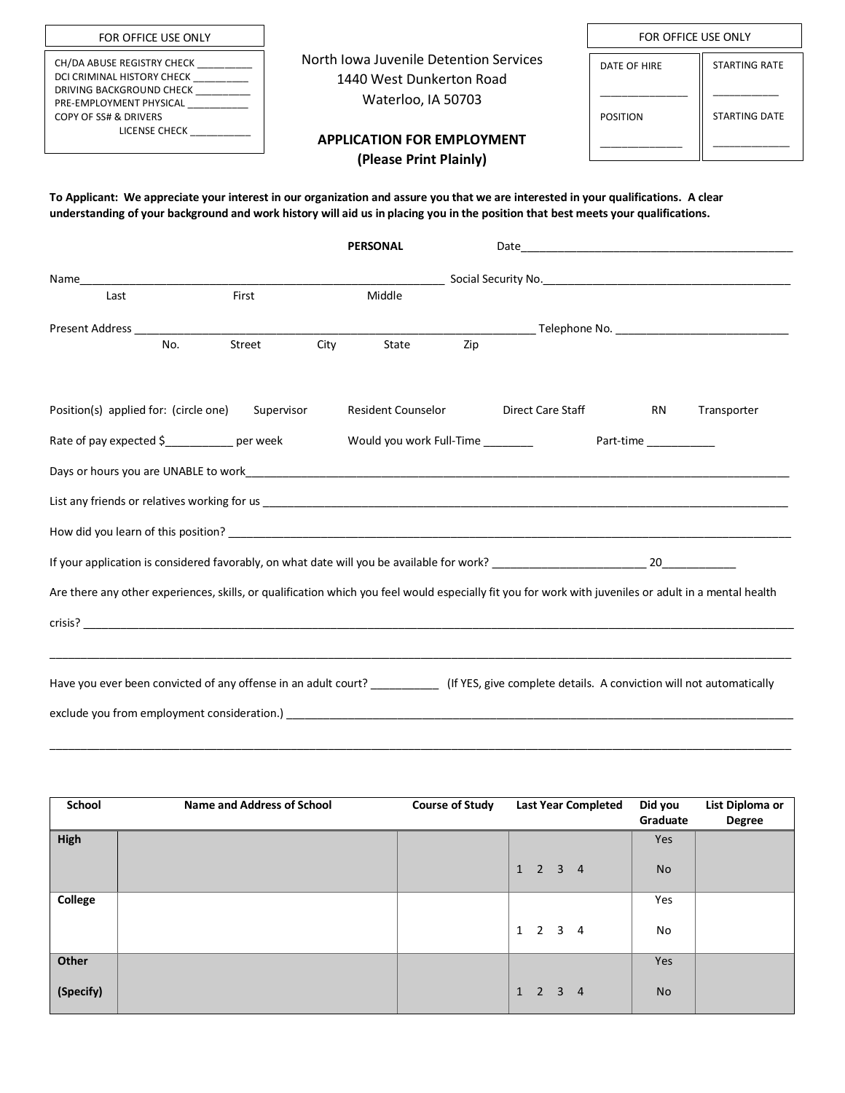| FOR OFFICE USE ONLY                                                                                                                                                  |                                                                                          | FOR OFFICE USE ONLY |                      |
|----------------------------------------------------------------------------------------------------------------------------------------------------------------------|------------------------------------------------------------------------------------------|---------------------|----------------------|
| CH/DA ABUSE REGISTRY CHECK<br>DCI CRIMINAL HISTORY CHECK<br>DRIVING BACKGROUND CHECK<br>PRE-EMPLOYMENT PHYSICAL<br><b>COPY OF SS# &amp; DRIVERS</b><br>LICENSE CHECK | North Iowa Juvenile Detention Services<br>1440 West Dunkerton Road<br>Waterloo, IA 50703 | DATE OF HIRE        | <b>STARTING RATE</b> |
|                                                                                                                                                                      | <b>APPLICATION FOR EMPLOYMENT</b><br>(Please Print Plainly)                              | <b>POSITION</b>     | <b>STARTING DATE</b> |
|                                                                                                                                                                      |                                                                                          |                     |                      |

**To Applicant: We appreciate your interest in our organization and assure you that we are interested in your qualifications. A clear understanding of your background and work history will aid us in placing you in the position that best meets your qualifications.**

|                                                                                                                                                       |     |            |      | <b>PERSONAL</b>    |     |                   |           |           |             |
|-------------------------------------------------------------------------------------------------------------------------------------------------------|-----|------------|------|--------------------|-----|-------------------|-----------|-----------|-------------|
|                                                                                                                                                       |     |            |      |                    |     |                   |           |           |             |
| Last                                                                                                                                                  |     | First      |      | Middle             |     |                   |           |           |             |
|                                                                                                                                                       |     |            |      |                    |     |                   |           |           |             |
|                                                                                                                                                       | No. | Street     | City | State              | Zip |                   |           |           |             |
|                                                                                                                                                       |     |            |      |                    |     |                   |           |           |             |
| Position(s) applied for: (circle one)                                                                                                                 |     | Supervisor |      | Resident Counselor |     | Direct Care Staff |           | <b>RN</b> | Transporter |
| Rate of pay expected \$     _____________ per week     __________________________                                                                     |     |            |      |                    |     |                   | Part-time |           |             |
|                                                                                                                                                       |     |            |      |                    |     |                   |           |           |             |
|                                                                                                                                                       |     |            |      |                    |     |                   |           |           |             |
|                                                                                                                                                       |     |            |      |                    |     |                   |           |           |             |
|                                                                                                                                                       |     |            |      |                    |     |                   |           |           |             |
| Are there any other experiences, skills, or qualification which you feel would especially fit you for work with juveniles or adult in a mental health |     |            |      |                    |     |                   |           |           |             |
|                                                                                                                                                       |     |            |      |                    |     |                   |           |           |             |
|                                                                                                                                                       |     |            |      |                    |     |                   |           |           |             |
| Have you ever been convicted of any offense in an adult court? ______________ (If YES, give complete details. A conviction will not automatically     |     |            |      |                    |     |                   |           |           |             |
|                                                                                                                                                       |     |            |      |                    |     |                   |           |           |             |

| School         | <b>Name and Address of School</b> | <b>Course of Study</b> | <b>Last Year Completed</b>  | Did you<br>Graduate | List Diploma or<br><b>Degree</b> |
|----------------|-----------------------------------|------------------------|-----------------------------|---------------------|----------------------------------|
| High           |                                   |                        |                             | Yes                 |                                  |
|                |                                   |                        | $1 \quad 2 \quad 3 \quad 4$ | <b>No</b>           |                                  |
| <b>College</b> |                                   |                        |                             | Yes                 |                                  |
|                |                                   |                        | $1 \quad 2 \quad 3 \quad 4$ | No                  |                                  |
| Other          |                                   |                        |                             | Yes                 |                                  |
| (Specify)      |                                   |                        | $1 \quad 2 \quad 3 \quad 4$ | <b>No</b>           |                                  |

\_\_\_\_\_\_\_\_\_\_\_\_\_\_\_\_\_\_\_\_\_\_\_\_\_\_\_\_\_\_\_\_\_\_\_\_\_\_\_\_\_\_\_\_\_\_\_\_\_\_\_\_\_\_\_\_\_\_\_\_\_\_\_\_\_\_\_\_\_\_\_\_\_\_\_\_\_\_\_\_\_\_\_\_\_\_\_\_\_\_\_\_\_\_\_\_\_\_\_\_\_\_\_\_\_\_\_\_\_\_\_\_\_\_\_\_\_\_\_\_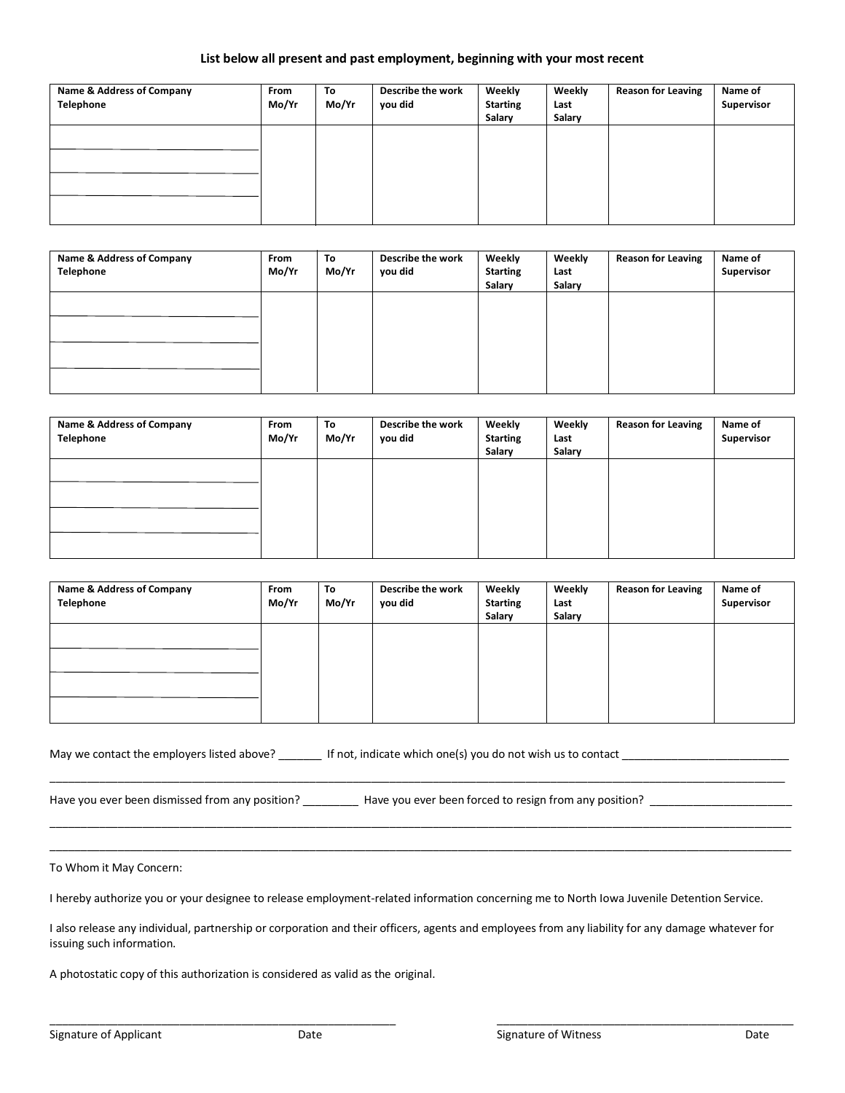### **List below all present and past employment, beginning with your most recent**

| Name & Address of Company<br>Telephone | From<br>Mo/Yr | To<br>Mo/Yr | Describe the work<br>you did | Weekly<br><b>Starting</b><br>Salary | Weekly<br>Last<br>Salary | <b>Reason for Leaving</b> | Name of<br>Supervisor |
|----------------------------------------|---------------|-------------|------------------------------|-------------------------------------|--------------------------|---------------------------|-----------------------|
|                                        |               |             |                              |                                     |                          |                           |                       |
|                                        |               |             |                              |                                     |                          |                           |                       |

| Name & Address of Company<br>Telephone | From<br>Mo/Yr | To<br>Mo/Yr | Describe the work<br>you did | Weekly<br><b>Starting</b><br>Salary | Weekly<br>Last<br>Salary | <b>Reason for Leaving</b> | Name of<br>Supervisor |
|----------------------------------------|---------------|-------------|------------------------------|-------------------------------------|--------------------------|---------------------------|-----------------------|
|                                        |               |             |                              |                                     |                          |                           |                       |
|                                        |               |             |                              |                                     |                          |                           |                       |

| Name & Address of Company<br>Telephone | From<br>Mo/Yr | To<br>Mo/Yr | Describe the work<br>you did | Weekly<br><b>Starting</b><br>Salary | Weekly<br>Last<br>Salary | <b>Reason for Leaving</b> | Name of<br>Supervisor |
|----------------------------------------|---------------|-------------|------------------------------|-------------------------------------|--------------------------|---------------------------|-----------------------|
|                                        |               |             |                              |                                     |                          |                           |                       |
|                                        |               |             |                              |                                     |                          |                           |                       |

| Name & Address of Company<br>Telephone | From<br>Mo/Yr | To<br>Mo/Yr | Describe the work<br>you did | Weekly<br><b>Starting</b><br>Salary | Weekly<br>Last<br>Salary | <b>Reason for Leaving</b> | Name of<br>Supervisor |
|----------------------------------------|---------------|-------------|------------------------------|-------------------------------------|--------------------------|---------------------------|-----------------------|
|                                        |               |             |                              |                                     |                          |                           |                       |
|                                        |               |             |                              |                                     |                          |                           |                       |
|                                        |               |             |                              |                                     |                          |                           |                       |
|                                        |               |             |                              |                                     |                          |                           |                       |

\_\_\_\_\_\_\_\_\_\_\_\_\_\_\_\_\_\_\_\_\_\_\_\_\_\_\_\_\_\_\_\_\_\_\_\_\_\_\_\_\_\_\_\_\_\_\_\_\_\_\_\_\_\_\_\_\_\_\_\_\_\_\_\_\_\_\_\_\_\_\_\_\_\_\_\_\_\_\_\_\_\_\_\_\_\_\_\_\_\_\_\_\_\_\_\_\_\_\_\_\_\_\_\_\_\_\_\_\_\_\_\_\_\_\_\_\_\_\_

\_\_\_\_\_\_\_\_\_\_\_\_\_\_\_\_\_\_\_\_\_\_\_\_\_\_\_\_\_\_\_\_\_\_\_\_\_\_\_\_\_\_\_\_\_\_\_\_\_\_\_\_\_\_\_\_\_\_\_\_\_\_\_\_\_\_\_\_\_\_\_\_\_\_\_\_\_\_\_\_\_\_\_\_\_\_\_\_\_\_\_\_\_\_\_\_\_\_\_\_\_\_\_\_\_\_\_\_\_\_\_\_\_\_\_\_\_\_\_\_ \_\_\_\_\_\_\_\_\_\_\_\_\_\_\_\_\_\_\_\_\_\_\_\_\_\_\_\_\_\_\_\_\_\_\_\_\_\_\_\_\_\_\_\_\_\_\_\_\_\_\_\_\_\_\_\_\_\_\_\_\_\_\_\_\_\_\_\_\_\_\_\_\_\_\_\_\_\_\_\_\_\_\_\_\_\_\_\_\_\_\_\_\_\_\_\_\_\_\_\_\_\_\_\_\_\_\_\_\_\_\_\_\_\_\_\_\_\_\_\_

| May we contact the employers listed above? | If not, indicate which one(s) you do not wish us to contact |  |
|--------------------------------------------|-------------------------------------------------------------|--|
|                                            |                                                             |  |

Have you ever been dismissed from any position? \_\_\_\_\_\_\_\_\_\_\_ Have you ever been forced to resign from any position? \_\_\_\_\_\_\_\_\_\_\_\_\_\_\_\_\_\_\_\_

To Whom it May Concern:

I hereby authorize you or your designee to release employment-related information concerning me to North Iowa Juvenile Detention Service.

I also release any individual, partnership or corporation and their officers, agents and employees from any liability for any damage whatever for issuing such information.

\_\_\_\_\_\_\_\_\_\_\_\_\_\_\_\_\_\_\_\_\_\_\_\_\_\_\_\_\_\_\_\_\_\_\_\_\_\_\_\_\_\_\_\_\_\_\_\_\_\_\_\_\_\_\_\_ \_\_\_\_\_\_\_\_\_\_\_\_\_\_\_\_\_\_\_\_\_\_\_\_\_\_\_\_\_\_\_\_\_\_\_\_\_\_\_\_\_\_\_\_\_\_\_\_

A photostatic copy of this authorization is considered as valid as the original.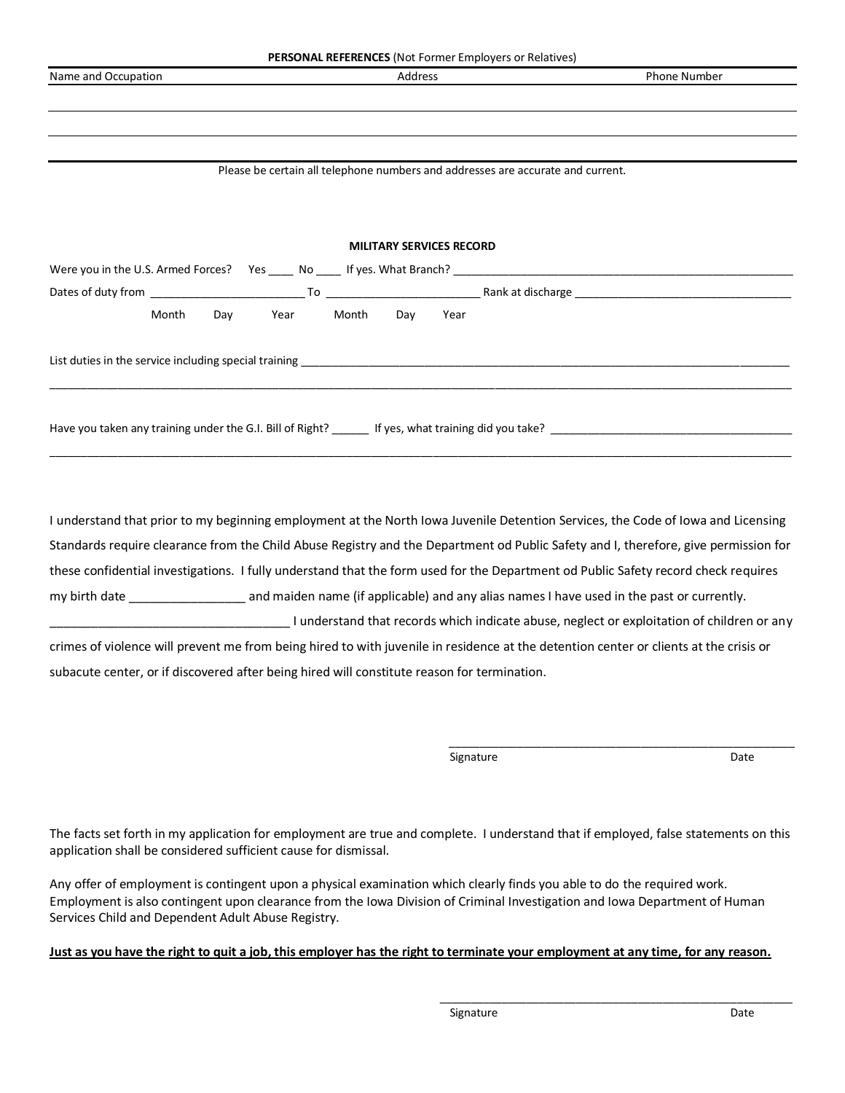|                     | <b>PERSONAL REFERENCES</b> (Not Former Employers or Relatives)                  |                     |
|---------------------|---------------------------------------------------------------------------------|---------------------|
| Name and Occupation | Address                                                                         | <b>Phone Number</b> |
|                     |                                                                                 |                     |
|                     |                                                                                 |                     |
|                     |                                                                                 |                     |
|                     |                                                                                 |                     |
|                     | Please be certain all telephone numbers and addresses are accurate and current. |                     |
|                     |                                                                                 |                     |
|                     |                                                                                 |                     |
|                     | <b>MILITARY SERVICES RECORD</b>                                                 |                     |
|                     |                                                                                 |                     |
|                     |                                                                                 |                     |
|                     |                                                                                 |                     |
| Month               | Day Year Month Day Year                                                         |                     |
|                     |                                                                                 |                     |
|                     |                                                                                 |                     |
|                     |                                                                                 |                     |
|                     |                                                                                 |                     |
|                     |                                                                                 |                     |
|                     |                                                                                 |                     |
|                     |                                                                                 |                     |
|                     |                                                                                 |                     |

I understand that prior to my beginning employment at the North Iowa Juvenile Detention Services, the Code of Iowa and Licensing Standards require clearance from the Child Abuse Registry and the Department od Public Safety and I, therefore, give permission for these confidential investigations. I fully understand that the form used for the Department od Public Safety record check requires my birth date \_\_\_\_\_\_\_\_\_\_\_\_\_\_\_\_\_ and maiden name (if applicable) and any alias names I have used in the past or currently. \_\_\_\_\_\_\_\_\_\_\_\_\_\_\_\_\_\_\_\_\_\_\_\_\_\_\_\_\_\_\_\_\_\_\_ I understand that records which indicate abuse, neglect or exploitation of children or any crimes of violence will prevent me from being hired to with juvenile in residence at the detention center or clients at the crisis or subacute center, or if discovered after being hired will constitute reason for termination.

Signature and the Superior of the Superior of the Superior of the Superior of the Date of the Date of the Date

\_\_\_\_\_\_\_\_\_\_\_\_\_\_\_\_\_\_\_\_\_\_\_\_\_\_\_\_\_\_\_\_\_\_\_\_\_\_\_\_\_\_\_\_\_\_\_\_\_\_\_\_\_\_\_\_

The facts set forth in my application for employment are true and complete. I understand that if employed, false statements on this application shall be considered sufficient cause for dismissal.

Any offer of employment is contingent upon a physical examination which clearly finds you able to do the required work. Employment is also contingent upon clearance from the Iowa Division of Criminal Investigation and Iowa Department of Human Services Child and Dependent Adult Abuse Registry.

# **Just as you have the right to quit a job, this employer has the right to terminate your employment at any time, for any reason.**

 $\frac{1}{2}$  ,  $\frac{1}{2}$  ,  $\frac{1}{2}$  ,  $\frac{1}{2}$  ,  $\frac{1}{2}$  ,  $\frac{1}{2}$  ,  $\frac{1}{2}$  ,  $\frac{1}{2}$  ,  $\frac{1}{2}$  ,  $\frac{1}{2}$  ,  $\frac{1}{2}$  ,  $\frac{1}{2}$  ,  $\frac{1}{2}$  ,  $\frac{1}{2}$  ,  $\frac{1}{2}$  ,  $\frac{1}{2}$  ,  $\frac{1}{2}$  ,  $\frac{1}{2}$  ,  $\frac{1$